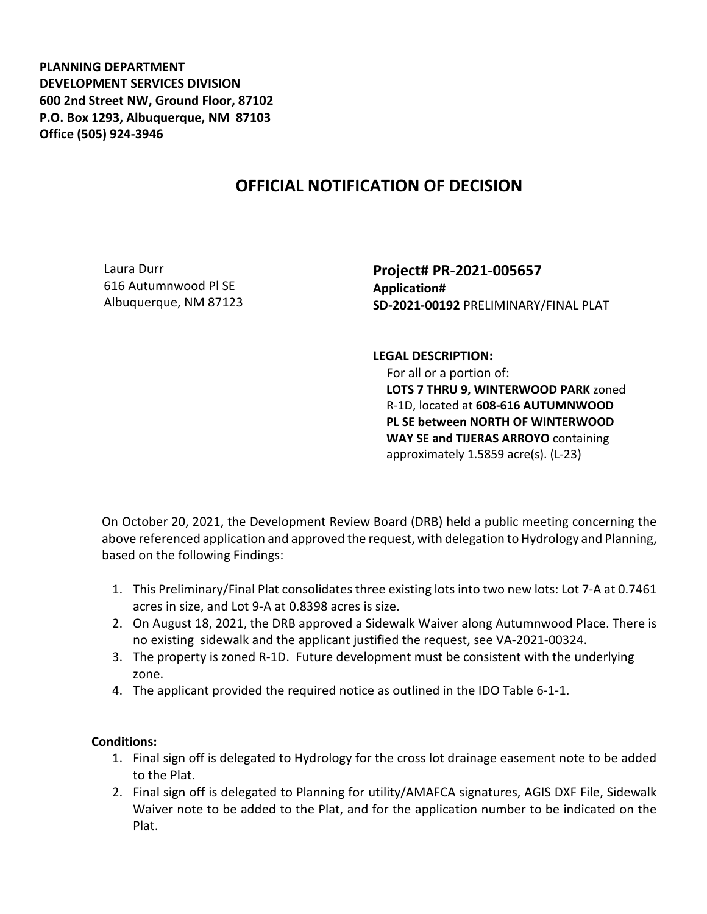**PLANNING DEPARTMENT DEVELOPMENT SERVICES DIVISION 600 2nd Street NW, Ground Floor, 87102 P.O. Box 1293, Albuquerque, NM 87103 Office (505) 924-3946** 

## **OFFICIAL NOTIFICATION OF DECISION**

Laura Durr 616 Autumnwood Pl SE Albuquerque, NM 87123 **Project# PR-2021-005657 Application# SD-2021-00192** PRELIMINARY/FINAL PLAT

**LEGAL DESCRIPTION:**

 For all or a portion of: **LOTS 7 THRU 9, WINTERWOOD PARK** zoned R-1D, located at **608-616 AUTUMNWOOD PL SE between NORTH OF WINTERWOOD WAY SE and TIJERAS ARROYO** containing approximately 1.5859 acre(s). (L-23)

On October 20, 2021, the Development Review Board (DRB) held a public meeting concerning the above referenced application and approved the request, with delegation to Hydrology and Planning, based on the following Findings:

- 1. This Preliminary/Final Plat consolidates three existing lots into two new lots: Lot 7-A at 0.7461 acres in size, and Lot 9-A at 0.8398 acres is size.
- 2. On August 18, 2021, the DRB approved a Sidewalk Waiver along Autumnwood Place. There is no existing sidewalk and the applicant justified the request, see VA-2021-00324.
- 3. The property is zoned R-1D. Future development must be consistent with the underlying zone.
- 4. The applicant provided the required notice as outlined in the IDO Table 6-1-1.

## **Conditions:**

- 1. Final sign off is delegated to Hydrology for the cross lot drainage easement note to be added to the Plat.
- 2. Final sign off is delegated to Planning for utility/AMAFCA signatures, AGIS DXF File, Sidewalk Waiver note to be added to the Plat, and for the application number to be indicated on the Plat.